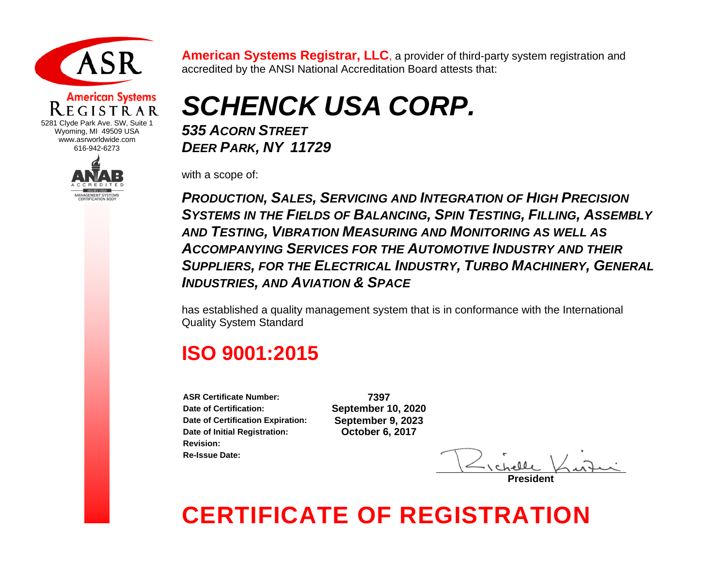

### **American Systems**

5281 Clyde Park Ave. SW, Suite 1 Wyoming, MI 49509 USA www.asrworldwide.com 616-942-6273



**American Systems Registrar, LLC**, a provider of third-party system registration and accredited by the ANSI National Accreditation Board attests that:

*SCHENCK USA CORP.*

*535 ACORN STREET DEER PARK, NY 11729*

with a scope of:

*PRODUCTION, SALES, SERVICING AND INTEGRATION OF HIGH PRECISION SYSTEMS IN THE FIELDS OF BALANCING, SPIN TESTING, FILLING, ASSEMBLY AND TESTING, VIBRATION MEASURING AND MONITORING AS WELL AS ACCOMPANYING SERVICES FOR THE AUTOMOTIVE INDUSTRY AND THEIR SUPPLIERS, FOR THE ELECTRICAL INDUSTRY, TURBO MACHINERY, GENERAL INDUSTRIES, AND AVIATION & SPACE*

has established a quality management system that is in conformance with the International Quality System Standard

#### **ISO 9001:2015**

**ASR Certificate Number: 7397 Date of Certification: September 10, 2020 Date of Certification Expiration: September 9, 2023 Date of Initial Registration: October 6, 2017 Revision: Re-Issue Date:** 

**President**

## **CERTIFICATE OF REGISTRATION**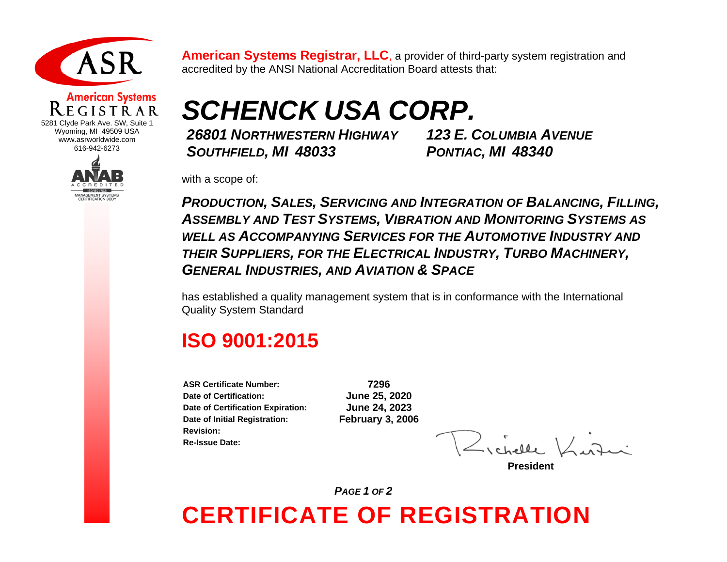

## **American Systems**

5281 Clyde Park Ave. SW, Suite 1 Wyoming, MI 49509 USA www.asrworldwide.com 616-942-6273



**American Systems Registrar, LLC**, a provider of third-party system registration and accredited by the ANSI National Accreditation Board attests that:

# *SCHENCK USA CORP.*

*26801 NORTHWESTERN HIGHWAY SOUTHFIELD, MI 48033*

*123 E. COLUMBIA AVENUE PONTIAC, MI 48340*

with a scope of:

*PRODUCTION, SALES, SERVICING AND INTEGRATION OF BALANCING, FILLING, ASSEMBLY AND TEST SYSTEMS, VIBRATION AND MONITORING SYSTEMS AS WELL AS ACCOMPANYING SERVICES FOR THE AUTOMOTIVE INDUSTRY AND THEIR SUPPLIERS, FOR THE ELECTRICAL INDUSTRY, TURBO MACHINERY, GENERAL INDUSTRIES, AND AVIATION & SPACE*

has established a quality management system that is in conformance with the International Quality System Standard

#### **ISO 9001:2015**

**ASR Certificate Number: 7296 Date of Certification: June 25, 2020 Date of Certification Expiration: June 24, 2023 Date of Initial Registration: February 3, 2006 Revision: Re-Issue Date:** 

**President**

**CERTIFICATE OF REGISTRATION** *PAGE 1 OF 2*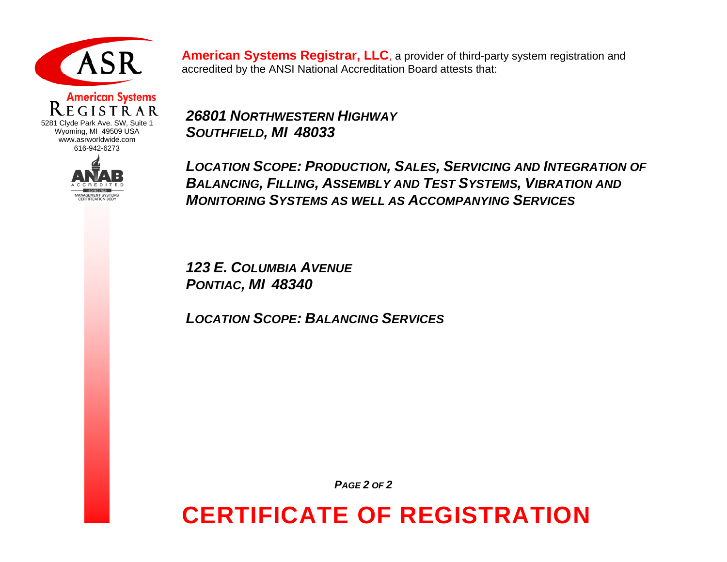

#### **American Systems** GISTRAR 5281 Clyde Park Ave. SW, Suite 1 Wyoming, MI 49509 USA www.asrworldwide.com

616-942-6273

**MANAGEMENT SYSTEMS CERTIFICATION BODY** 



*26801 NORTHWESTERN HIGHWAY SOUTHFIELD, MI 48033*

*LOCATION SCOPE: PRODUCTION, SALES, SERVICING AND INTEGRATION OF BALANCING, FILLING, ASSEMBLY AND TEST SYSTEMS, VIBRATION AND MONITORING SYSTEMS AS WELL AS ACCOMPANYING SERVICES*

*123 E. COLUMBIA AVENUE PONTIAC, MI 48340*

*LOCATION SCOPE: BALANCING SERVICES*

*PAGE 2 OF 2*

## **CERTIFICATE OF REGISTRATION**